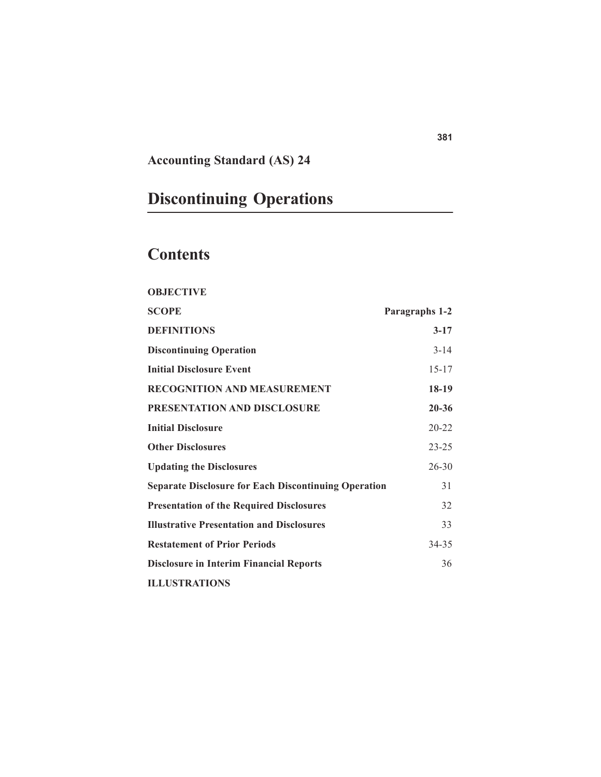# **Accounting Standard (AS) 24**

# **Discontinuing Operations**

# **Contents**

| <b>OBJECTIVE</b>                                            |                |
|-------------------------------------------------------------|----------------|
| SCOPE                                                       | Paragraphs 1-2 |
| <b>DEFINITIONS</b>                                          | $3 - 17$       |
| <b>Discontinuing Operation</b>                              | $3 - 14$       |
| <b>Initial Disclosure Event</b>                             | $15 - 17$      |
| <b>RECOGNITION AND MEASUREMENT</b>                          | 18-19          |
| PRESENTATION AND DISCLOSURE                                 | $20 - 36$      |
| <b>Initial Disclosure</b>                                   | $20 - 22$      |
| <b>Other Disclosures</b>                                    | $23 - 25$      |
| <b>Updating the Disclosures</b>                             | $26 - 30$      |
| <b>Separate Disclosure for Each Discontinuing Operation</b> | 31             |
| <b>Presentation of the Required Disclosures</b>             | 32             |
| <b>Illustrative Presentation and Disclosures</b>            | 33             |
| <b>Restatement of Prior Periods</b>                         | 34-35          |
| <b>Disclosure in Interim Financial Reports</b>              | 36             |
| <b>ILLUSTRATIONS</b>                                        |                |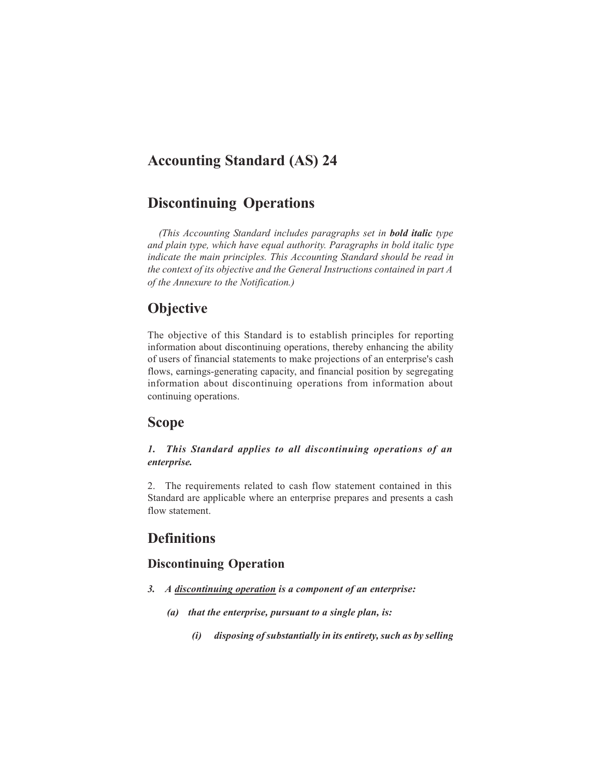# **Accounting Standard (AS) 24**

## **Discontinuing Operations**

*(This Accounting Standard includes paragraphs set in bold italic type and plain type, which have equal authority. Paragraphs in bold italic type indicate the main principles. This Accounting Standard should be read in the context of its objective and the General Instructions contained in part A of the Annexure to the Notification.)*

## **Objective**

The objective of this Standard is to establish principles for reporting information about discontinuing operations, thereby enhancing the ability of users of financial statements to make projections of an enterprise's cash flows, earnings-generating capacity, and financial position by segregating information about discontinuing operations from information about continuing operations.

## **Scope**

#### *1. This Standard applies to all discontinuing operations of an enterprise.*

2. The requirements related to cash flow statement contained in this Standard are applicable where an enterprise prepares and presents a cash flow statement.

## **Definitions**

## **Discontinuing Operation**

- *3. A discontinuing operation is a component of an enterprise:*
	- *(a) that the enterprise, pursuant to a single plan, is:*
		- *(i) disposing of substantially in its entirety, such as by selling*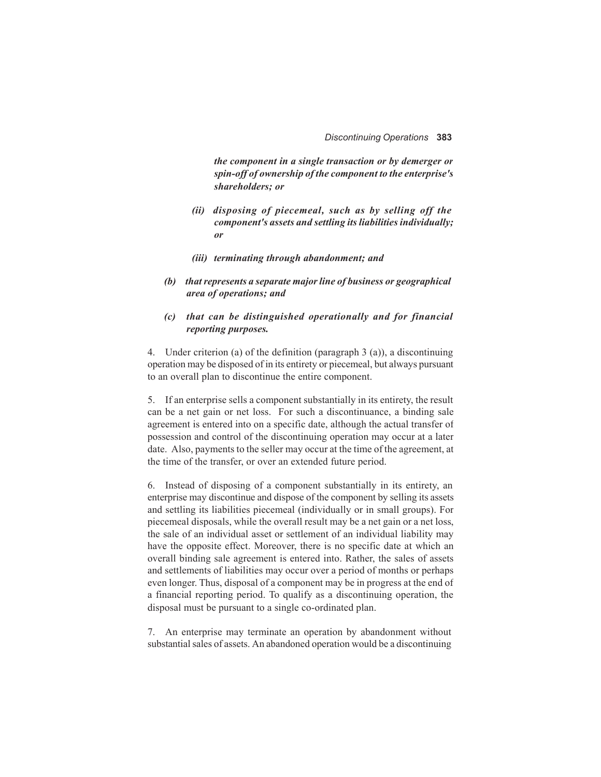*the component in a single transaction or by demerger or spin-off of ownership of the component to the enterprise's shareholders; or*

- *(ii) disposing of piecemeal, such as by selling off the component's assets and settling its liabilities individually; or*
- *(iii) terminating through abandonment; and*
- *(b) that represents a separate major line of business or geographical area of operations; and*

#### *(c) that can be distinguished operationally and for financial reporting purposes.*

4. Under criterion (a) of the definition (paragraph 3 (a)), a discontinuing operation may be disposed of in its entirety or piecemeal, but always pursuant to an overall plan to discontinue the entire component.

5. If an enterprise sells a component substantially in its entirety, the result can be a net gain or net loss. For such a discontinuance, a binding sale agreement is entered into on a specific date, although the actual transfer of possession and control of the discontinuing operation may occur at a later date. Also, payments to the seller may occur at the time of the agreement, at the time of the transfer, or over an extended future period.

6. Instead of disposing of a component substantially in its entirety, an enterprise may discontinue and dispose of the component by selling its assets and settling its liabilities piecemeal (individually or in small groups). For piecemeal disposals, while the overall result may be a net gain or a net loss, the sale of an individual asset or settlement of an individual liability may have the opposite effect. Moreover, there is no specific date at which an overall binding sale agreement is entered into. Rather, the sales of assets and settlements of liabilities may occur over a period of months or perhaps even longer. Thus, disposal of a component may be in progress at the end of a financial reporting period. To qualify as a discontinuing operation, the disposal must be pursuant to a single co-ordinated plan.

7. An enterprise may terminate an operation by abandonment without substantial sales of assets. An abandoned operation would be a discontinuing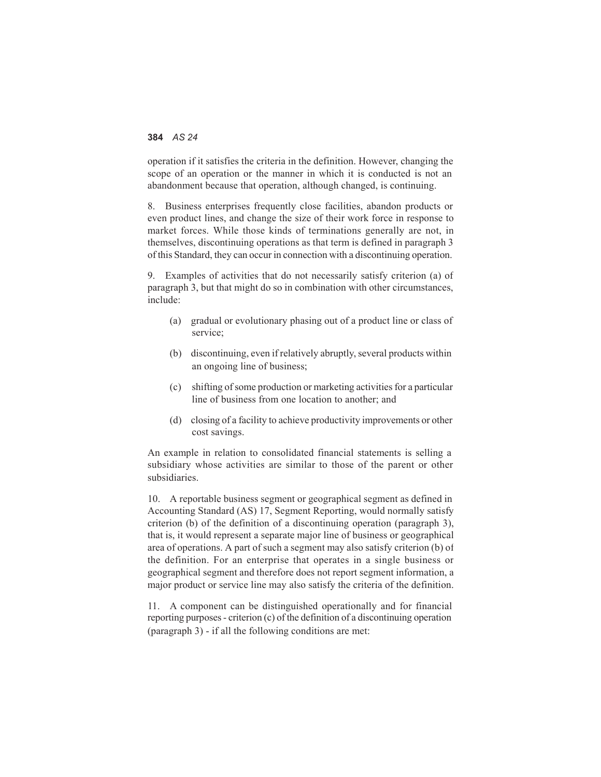operation if it satisfies the criteria in the definition. However, changing the scope of an operation or the manner in which it is conducted is not an abandonment because that operation, although changed, is continuing.

8. Business enterprises frequently close facilities, abandon products or even product lines, and change the size of their work force in response to market forces. While those kinds of terminations generally are not, in themselves, discontinuing operations as that term is defined in paragraph 3 of this Standard, they can occur in connection with a discontinuing operation.

9. Examples of activities that do not necessarily satisfy criterion (a) of paragraph 3, but that might do so in combination with other circumstances, include:

- (a) gradual or evolutionary phasing out of a product line or class of service;
- (b) discontinuing, even if relatively abruptly, several products within an ongoing line of business;
- (c) shifting of some production or marketing activities for a particular line of business from one location to another; and
- (d) closing of a facility to achieve productivity improvements or other cost savings.

An example in relation to consolidated financial statements is selling a subsidiary whose activities are similar to those of the parent or other subsidiaries.

10. A reportable business segment or geographical segment as defined in Accounting Standard (AS) 17, Segment Reporting, would normally satisfy criterion (b) of the definition of a discontinuing operation (paragraph 3), that is, it would represent a separate major line of business or geographical area of operations. A part of such a segment may also satisfy criterion (b) of the definition. For an enterprise that operates in a single business or geographical segment and therefore does not report segment information, a major product or service line may also satisfy the criteria of the definition.

11. A component can be distinguished operationally and for financial reporting purposes - criterion (c) of the definition of a discontinuing operation (paragraph 3) - if all the following conditions are met: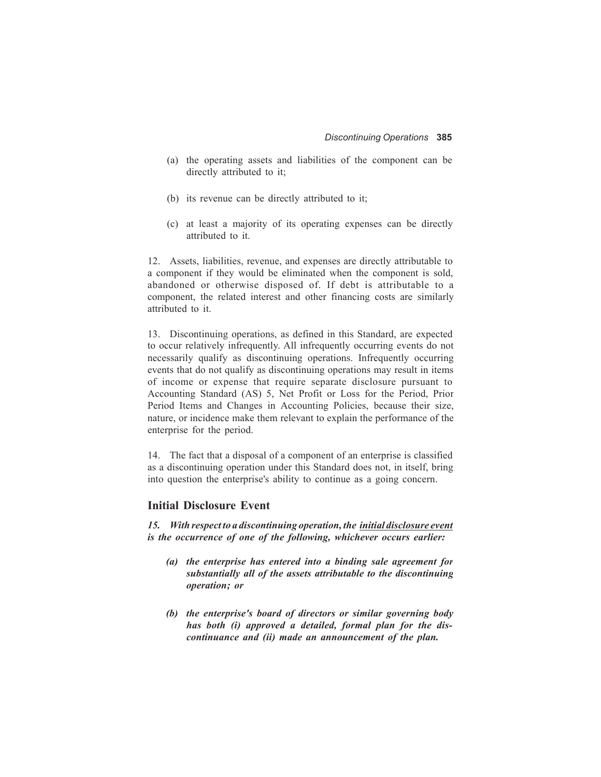- (a) the operating assets and liabilities of the component can be directly attributed to it;
- (b) its revenue can be directly attributed to it;
- (c) at least a majority of its operating expenses can be directly attributed to it.

12. Assets, liabilities, revenue, and expenses are directly attributable to a component if they would be eliminated when the component is sold, abandoned or otherwise disposed of. If debt is attributable to a component, the related interest and other financing costs are similarly attributed to it.

13. Discontinuing operations, as defined in this Standard, are expected to occur relatively infrequently. All infrequently occurring events do not necessarily qualify as discontinuing operations. Infrequently occurring events that do not qualify as discontinuing operations may result in items of income or expense that require separate disclosure pursuant to Accounting Standard (AS) 5, Net Profit or Loss for the Period, Prior Period Items and Changes in Accounting Policies, because their size, nature, or incidence make them relevant to explain the performance of the enterprise for the period.

14. The fact that a disposal of a component of an enterprise is classified as a discontinuing operation under this Standard does not, in itself, bring into question the enterprise's ability to continue as a going concern.

#### **Initial Disclosure Event**

*15. With respect to a discontinuing operation, the initial disclosure event is the occurrence of one of the following, whichever occurs earlier:*

- *(a) the enterprise has entered into a binding sale agreement for substantially all of the assets attributable to the discontinuing operation; or*
- *(b) the enterprise's board of directors or similar governing body has both (i) approved a detailed, formal plan for the discontinuance and (ii) made an announcement of the plan.*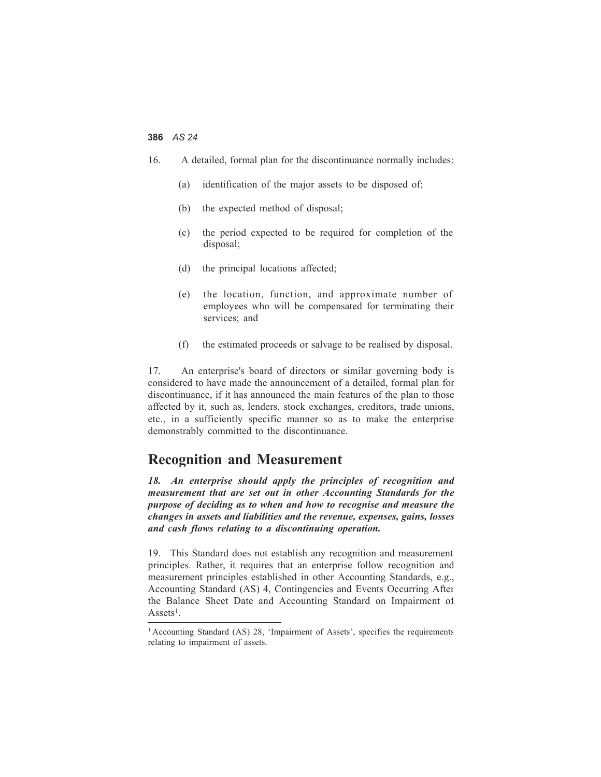- 16. A detailed, formal plan for the discontinuance normally includes:
	- (a) identification of the major assets to be disposed of;
	- (b) the expected method of disposal;
	- (c) the period expected to be required for completion of the disposal;
	- (d) the principal locations affected;
	- (e) the location, function, and approximate number of employees who will be compensated for terminating their services; and
	- (f) the estimated proceeds or salvage to be realised by disposal.

17. An enterprise's board of directors or similar governing body is considered to have made the announcement of a detailed, formal plan for discontinuance, if it has announced the main features of the plan to those affected by it, such as, lenders, stock exchanges, creditors, trade unions, etc., in a sufficiently specific manner so as to make the enterprise demonstrably committed to the discontinuance.

## **Recognition and Measurement**

*18. An enterprise should apply the principles of recognition and measurement that are set out in other Accounting Standards for the purpose of deciding as to when and how to recognise and measure the changes in assets and liabilities and the revenue, expenses, gains, losses and cash flows relating to a discontinuing operation.*

19. This Standard does not establish any recognition and measurement principles. Rather, it requires that an enterprise follow recognition and measurement principles established in other Accounting Standards, e.g., Accounting Standard (AS) 4, Contingencies and Events Occurring After the Balance Sheet Date and Accounting Standard on Impairment of  $Assets<sup>1</sup>$ .

<sup>&</sup>lt;sup>1</sup> Accounting Standard (AS) 28, 'Impairment of Assets', specifies the requirements relating to impairment of assets.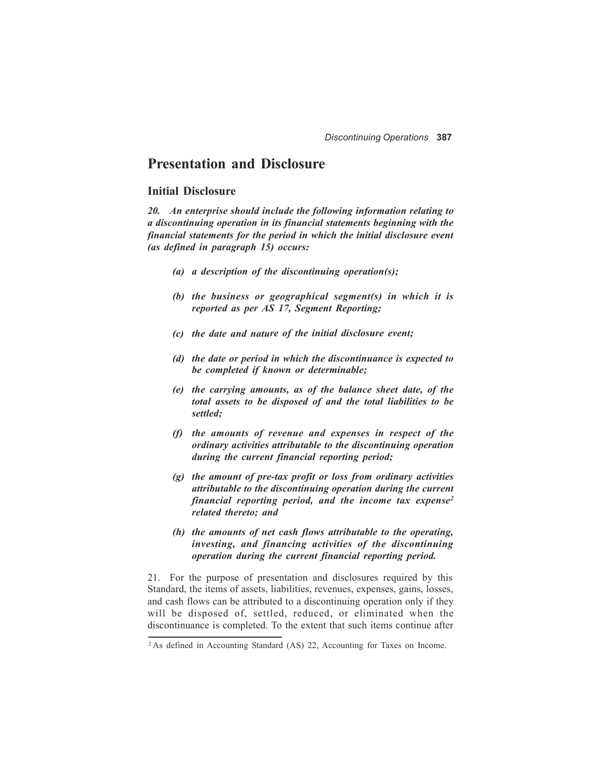## **Presentation and Disclosure**

#### **Initial Disclosure**

*20. An enterprise should include the following information relating to a discontinuing operation in its financial statements beginning with the financial statements for the period in which the initial disclosure event (as defined in paragraph 15) occurs:*

- *(a) a description of the discontinuing operation(s);*
- *(b) the business or geographical segment(s) in which it is reported as per AS 17, Segment Reporting;*
- *(c) the date and nature of the initial disclosure event;*
- *(d) the date or period in which the discontinuance is expected to be completed if known or determinable;*
- *(e) the carrying amounts, as of the balance sheet date, of the total assets to be disposed of and the total liabilities to be settled;*
- *(f) the amounts of revenue and expenses in respect of the ordinary activities attributable to the discontinuing operation during the current financial reporting period;*
- *(g) the amount of pre-tax profit or loss from ordinary activities attributable to the discontinuing operation during the current financial reporting period, and the income tax expense2 related thereto; and*
- *(h) the amounts of net cash flows attributable to the operating, investing, and financing activities of the discontinuing operation during the current financial reporting period.*

21. For the purpose of presentation and disclosures required by this Standard, the items of assets, liabilities, revenues, expenses, gains, losses, and cash flows can be attributed to a discontinuing operation only if they will be disposed of, settled, reduced, or eliminated when the discontinuance is completed. To the extent that such items continue after

<sup>2</sup> As defined in Accounting Standard (AS) 22, Accounting for Taxes on Income.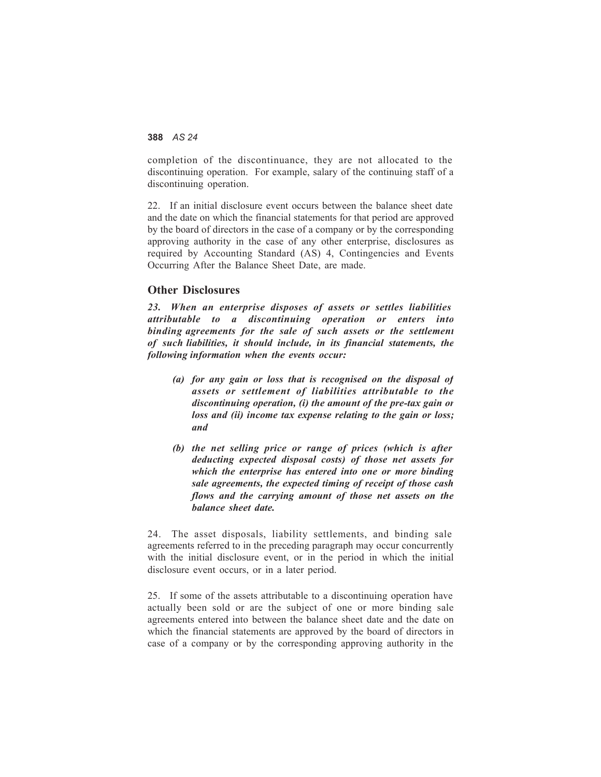completion of the discontinuance, they are not allocated to the discontinuing operation. For example, salary of the continuing staff of a discontinuing operation.

22. If an initial disclosure event occurs between the balance sheet date and the date on which the financial statements for that period are approved by the board of directors in the case of a company or by the corresponding approving authority in the case of any other enterprise, disclosures as required by Accounting Standard (AS) 4, Contingencies and Events Occurring After the Balance Sheet Date, are made.

#### **Other Disclosures**

*23. When an enterprise disposes of assets or settles liabilities attributable to a discontinuing operation or enters into binding agreements for the sale of such assets or the settlement of such liabilities, it should include, in its financial statements, the following information when the events occur:*

- *(a) for any gain or loss that is recognised on the disposal of assets or settlement of liabilities attributable to the discontinuing operation, (i) the amount of the pre-tax gain or loss and (ii) income tax expense relating to the gain or loss; and*
- *(b) the net selling price or range of prices (which is after deducting expected disposal costs) of those net assets for which the enterprise has entered into one or more binding sale agreements, the expected timing of receipt of those cash flows and the carrying amount of those net assets on the balance sheet date.*

24. The asset disposals, liability settlements, and binding sale agreements referred to in the preceding paragraph may occur concurrently with the initial disclosure event, or in the period in which the initial disclosure event occurs, or in a later period.

25. If some of the assets attributable to a discontinuing operation have actually been sold or are the subject of one or more binding sale agreements entered into between the balance sheet date and the date on which the financial statements are approved by the board of directors in case of a company or by the corresponding approving authority in the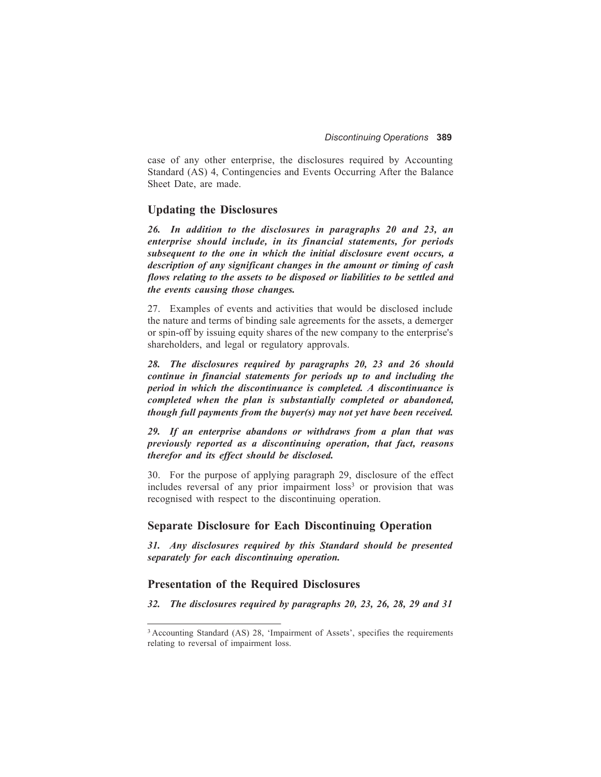case of any other enterprise, the disclosures required by Accounting Standard (AS) 4, Contingencies and Events Occurring After the Balance Sheet Date, are made.

#### **Updating the Disclosures**

*26. In addition to the disclosures in paragraphs 20 and 23, an enterprise should include, in its financial statements, for periods subsequent to the one in which the initial disclosure event occurs, a description of any significant changes in the amount or timing of cash flows relating to the assets to be disposed or liabilities to be settled and the events causing those changes.*

27. Examples of events and activities that would be disclosed include the nature and terms of binding sale agreements for the assets, a demerger or spin-off by issuing equity shares of the new company to the enterprise's shareholders, and legal or regulatory approvals.

*28. The disclosures required by paragraphs 20, 23 and 26 should continue in financial statements for periods up to and including the period in which the discontinuance is completed. A discontinuance is completed when the plan is substantially completed or abandoned, though full payments from the buyer(s) may not yet have been received.*

*29. If an enterprise abandons or withdraws from a plan that was previously reported as a discontinuing operation, that fact, reasons therefor and its effect should be disclosed.*

30. For the purpose of applying paragraph 29, disclosure of the effect includes reversal of any prior impairment loss<sup>3</sup> or provision that was recognised with respect to the discontinuing operation.

#### **Separate Disclosure for Each Discontinuing Operation**

*31. Any disclosures required by this Standard should be presented separately for each discontinuing operation.*

#### **Presentation of the Required Disclosures**

*32. The disclosures required by paragraphs 20, 23, 26, 28, 29 and 31*

<sup>&</sup>lt;sup>3</sup> Accounting Standard (AS) 28, 'Impairment of Assets', specifies the requirements relating to reversal of impairment loss.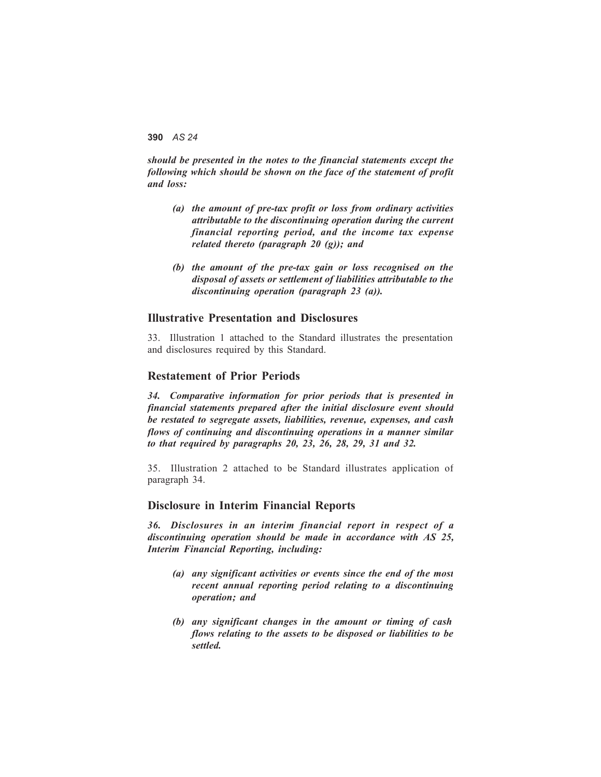*should be presented in the notes to the financial statements except the following which should be shown on the face of the statement of profit and loss:*

- *(a) the amount of pre-tax profit or loss from ordinary activities attributable to the discontinuing operation during the current financial reporting period, and the income tax expense related thereto (paragraph 20 (g)); and*
- *(b) the amount of the pre-tax gain or loss recognised on the disposal of assets or settlement of liabilities attributable to the discontinuing operation (paragraph 23 (a)).*

#### **Illustrative Presentation and Disclosures**

33. Illustration 1 attached to the Standard illustrates the presentation and disclosures required by this Standard.

#### **Restatement of Prior Periods**

*34. Comparative information for prior periods that is presented in financial statements prepared after the initial disclosure event should be restated to segregate assets, liabilities, revenue, expenses, and cash flows of continuing and discontinuing operations in a manner similar to that required by paragraphs 20, 23, 26, 28, 29, 31 and 32.*

35. Illustration 2 attached to be Standard illustrates application of paragraph 34.

#### **Disclosure in Interim Financial Reports**

*36. Disclosures in an interim financial report in respect of a discontinuing operation should be made in accordance with AS 25, Interim Financial Reporting, including:*

- *(a) any significant activities or events since the end of the most recent annual reporting period relating to a discontinuing operation; and*
- *(b) any significant changes in the amount or timing of cash flows relating to the assets to be disposed or liabilities to be settled.*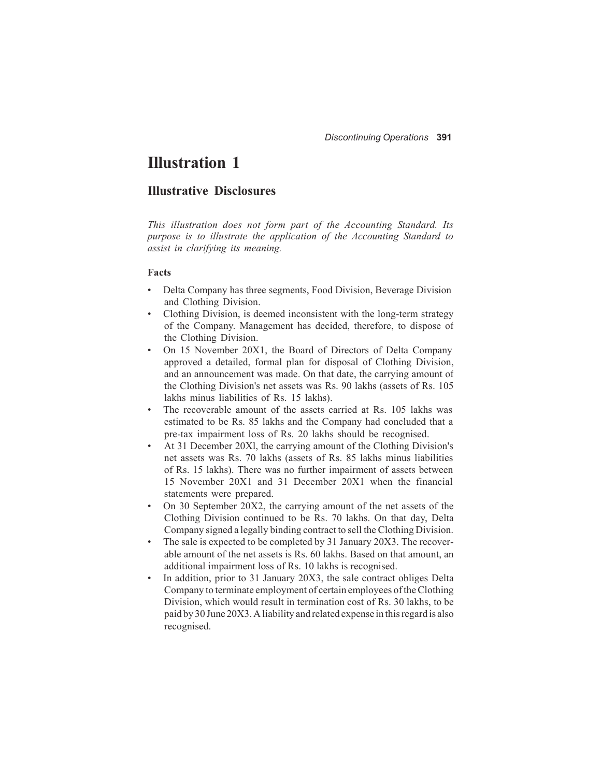# **Illustration 1**

## **Illustrative Disclosures**

*This illustration does not form part of the Accounting Standard. Its purpose is to illustrate the application of the Accounting Standard to assist in clarifying its meaning.*

#### **Facts**

- Delta Company has three segments, Food Division, Beverage Division and Clothing Division.
- Clothing Division, is deemed inconsistent with the long-term strategy of the Company. Management has decided, therefore, to dispose of the Clothing Division.
- On 15 November 20X1, the Board of Directors of Delta Company approved a detailed, formal plan for disposal of Clothing Division, and an announcement was made. On that date, the carrying amount of the Clothing Division's net assets was Rs. 90 lakhs (assets of Rs. 105 lakhs minus liabilities of Rs. 15 lakhs).
- The recoverable amount of the assets carried at Rs. 105 lakhs was estimated to be Rs. 85 lakhs and the Company had concluded that a pre-tax impairment loss of Rs. 20 lakhs should be recognised.
- At 31 December 20Xl, the carrying amount of the Clothing Division's net assets was Rs. 70 lakhs (assets of Rs. 85 lakhs minus liabilities of Rs. 15 lakhs). There was no further impairment of assets between 15 November 20X1 and 31 December 20X1 when the financial statements were prepared.
- On 30 September 20X2, the carrying amount of the net assets of the Clothing Division continued to be Rs. 70 lakhs. On that day, Delta Company signed a legally binding contract to sell the Clothing Division.
- The sale is expected to be completed by 31 January 20X3. The recoverable amount of the net assets is Rs. 60 lakhs. Based on that amount, an additional impairment loss of Rs. 10 lakhs is recognised.
- In addition, prior to 31 January 20X3, the sale contract obliges Delta Company to terminate employment of certain employees of the Clothing Division, which would result in termination cost of Rs. 30 lakhs, to be paid by 30 June 20X3. A liability and related expense in this regard is also recognised.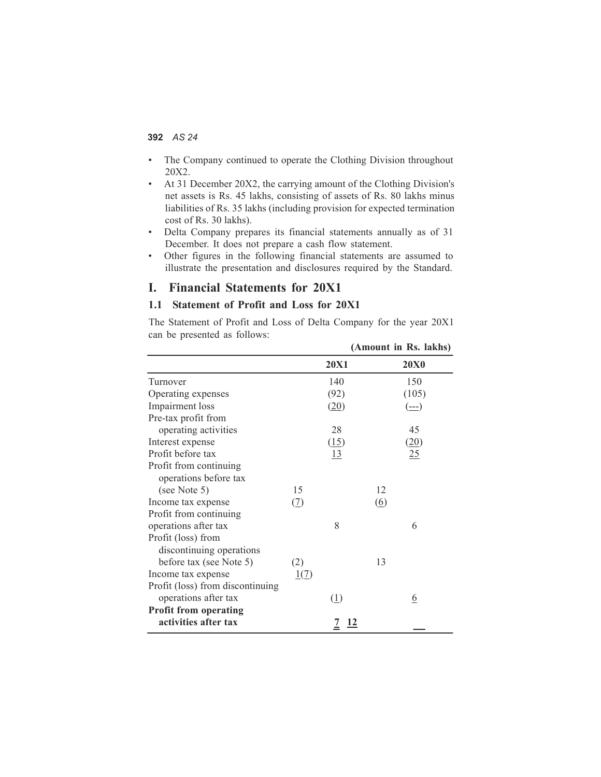- The Company continued to operate the Clothing Division throughout 20X2.
- At 31 December 20X2, the carrying amount of the Clothing Division's net assets is Rs. 45 lakhs, consisting of assets of Rs. 80 lakhs minus liabilities of Rs. 35 lakhs (including provision for expected termination cost of Rs. 30 lakhs).
- Delta Company prepares its financial statements annually as of 31 December. It does not prepare a cash flow statement.
- Other figures in the following financial statements are assumed to illustrate the presentation and disclosures required by the Standard.

### **I. Financial Statements for 20X1**

#### **1.1 Statement of Profit and Loss for 20X1**

The Statement of Profit and Loss of Delta Company for the year 20X1 can be presented as follows:

|                                                 |              |                             | (Amount in Rs. lakhs)                                                                                                                                                                                                                                                                                                                                                                                                                                                                                                                                                                                               |
|-------------------------------------------------|--------------|-----------------------------|---------------------------------------------------------------------------------------------------------------------------------------------------------------------------------------------------------------------------------------------------------------------------------------------------------------------------------------------------------------------------------------------------------------------------------------------------------------------------------------------------------------------------------------------------------------------------------------------------------------------|
|                                                 |              | <b>20X1</b>                 | <b>20X0</b>                                                                                                                                                                                                                                                                                                                                                                                                                                                                                                                                                                                                         |
| Turnover                                        |              | 140                         | 150                                                                                                                                                                                                                                                                                                                                                                                                                                                                                                                                                                                                                 |
| Operating expenses                              |              | (92)                        | (105)                                                                                                                                                                                                                                                                                                                                                                                                                                                                                                                                                                                                               |
| Impairment loss                                 |              | (20)                        | $\left(\underline{\underline{\hspace{1mm}}\underline{\hspace{1mm}}\underline{\hspace{1mm}}\underline{\hspace{1mm}}\underline{\hspace{1mm}}\underline{\hspace{1mm}}\underline{\hspace{1mm}}\underline{\hspace{1mm}}\underline{\hspace{1mm}}\underline{\hspace{1mm}}\underline{\hspace{1mm}}\underline{\hspace{1mm}}\underline{\hspace{1mm}}\underline{\hspace{1mm}}\underline{\hspace{1mm}}\underline{\hspace{1mm}}\underline{\hspace{1mm}}\underline{\hspace{1mm}}\underline{\hspace{1mm}}\underline{\hspace{1mm}}\underline{\hspace{1mm}}\underline{\hspace{1mm}}\underline{\hspace{1mm}}\underline{\hspace{1mm}}$ |
| Pre-tax profit from                             |              |                             |                                                                                                                                                                                                                                                                                                                                                                                                                                                                                                                                                                                                                     |
| operating activities                            |              | 28                          | 45                                                                                                                                                                                                                                                                                                                                                                                                                                                                                                                                                                                                                  |
| Interest expense                                |              | (15)                        | (20)                                                                                                                                                                                                                                                                                                                                                                                                                                                                                                                                                                                                                |
| Profit before tax                               |              | 13                          | 25                                                                                                                                                                                                                                                                                                                                                                                                                                                                                                                                                                                                                  |
| Profit from continuing<br>operations before tax |              |                             |                                                                                                                                                                                                                                                                                                                                                                                                                                                                                                                                                                                                                     |
| (see Note 5)                                    | 15           |                             | 12                                                                                                                                                                                                                                                                                                                                                                                                                                                                                                                                                                                                                  |
| Income tax expense                              | ( <u>7</u> ) |                             | $\underline{(6)}$                                                                                                                                                                                                                                                                                                                                                                                                                                                                                                                                                                                                   |
| Profit from continuing                          |              |                             |                                                                                                                                                                                                                                                                                                                                                                                                                                                                                                                                                                                                                     |
| operations after tax                            |              | 8                           | 6                                                                                                                                                                                                                                                                                                                                                                                                                                                                                                                                                                                                                   |
| Profit (loss) from                              |              |                             |                                                                                                                                                                                                                                                                                                                                                                                                                                                                                                                                                                                                                     |
| discontinuing operations                        |              |                             |                                                                                                                                                                                                                                                                                                                                                                                                                                                                                                                                                                                                                     |
| before tax (see Note 5)                         | (2)          |                             | 13                                                                                                                                                                                                                                                                                                                                                                                                                                                                                                                                                                                                                  |
| Income tax expense                              | 1(7)         |                             |                                                                                                                                                                                                                                                                                                                                                                                                                                                                                                                                                                                                                     |
| Profit (loss) from discontinuing                |              |                             |                                                                                                                                                                                                                                                                                                                                                                                                                                                                                                                                                                                                                     |
| operations after tax                            |              | (1)                         | <u>6</u>                                                                                                                                                                                                                                                                                                                                                                                                                                                                                                                                                                                                            |
| <b>Profit from operating</b>                    |              |                             |                                                                                                                                                                                                                                                                                                                                                                                                                                                                                                                                                                                                                     |
| activities after tax                            |              | <u>12</u><br>$\overline{1}$ |                                                                                                                                                                                                                                                                                                                                                                                                                                                                                                                                                                                                                     |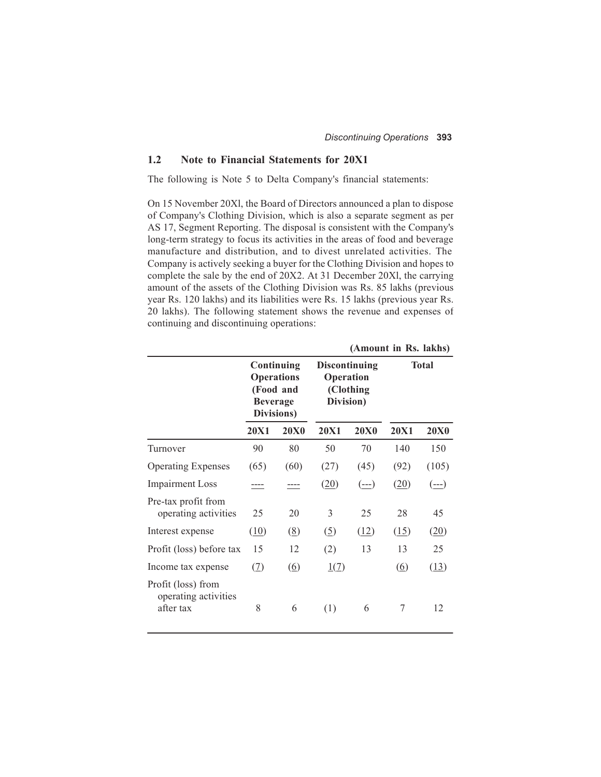#### **1.2 Note to Financial Statements for 20X1**

The following is Note 5 to Delta Company's financial statements:

On 15 November 20Xl, the Board of Directors announced a plan to dispose of Company's Clothing Division, which is also a separate segment as per AS 17, Segment Reporting. The disposal is consistent with the Company's long-term strategy to focus its activities in the areas of food and beverage manufacture and distribution, and to divest unrelated activities. The Company is actively seeking a buyer for the Clothing Division and hopes to complete the sale by the end of 20X2. At 31 December 20Xl, the carrying amount of the assets of the Clothing Division was Rs. 85 lakhs (previous year Rs. 120 lakhs) and its liabilities were Rs. 15 lakhs (previous year Rs. 20 lakhs). The following statement shows the revenue and expenses of continuing and discontinuing operations:

|                                                         |                                                                               |                              | (АШОИНС III INS. 18КНУ)                                     |             |              |             |  |  |
|---------------------------------------------------------|-------------------------------------------------------------------------------|------------------------------|-------------------------------------------------------------|-------------|--------------|-------------|--|--|
|                                                         | Continuing<br><b>Operations</b><br>(Food and<br><b>Beverage</b><br>Divisions) |                              | <b>Discontinuing</b><br>Operation<br>(Clothing<br>Division) |             | <b>Total</b> |             |  |  |
|                                                         | <b>20X1</b>                                                                   | <b>20X0</b>                  | <b>20X1</b>                                                 | <b>20X0</b> | <b>20X1</b>  | <b>20X0</b> |  |  |
| Turnover                                                | 90                                                                            | 80                           | 50                                                          | 70          | 140          | 150         |  |  |
| <b>Operating Expenses</b>                               | (65)                                                                          | (60)                         | (27)                                                        | (45)        | (92)         | (105)       |  |  |
| <b>Impairment Loss</b>                                  |                                                                               |                              | (20)                                                        | (---)       | (20)         | $(--1)$     |  |  |
| Pre-tax profit from<br>operating activities             | 25                                                                            | 20                           | 3                                                           | 25          | 28           | 45          |  |  |
| Interest expense                                        | (10)                                                                          | $\left(\underline{8}\right)$ | $\left( \underline{5} \right)$                              | (12)        | (15)         | (20)        |  |  |
| Profit (loss) before tax                                | 15                                                                            | 12                           | (2)                                                         | 13          | 13           | 25          |  |  |
| Income tax expense                                      | (7)                                                                           | <u>(6)</u>                   | 1(7)                                                        |             | <u>(6)</u>   | (13)        |  |  |
| Profit (loss) from<br>operating activities<br>after tax | 8                                                                             | 6                            | (1)                                                         | 6           | 7            | 12          |  |  |

**(Amount in Rs. lakhs)**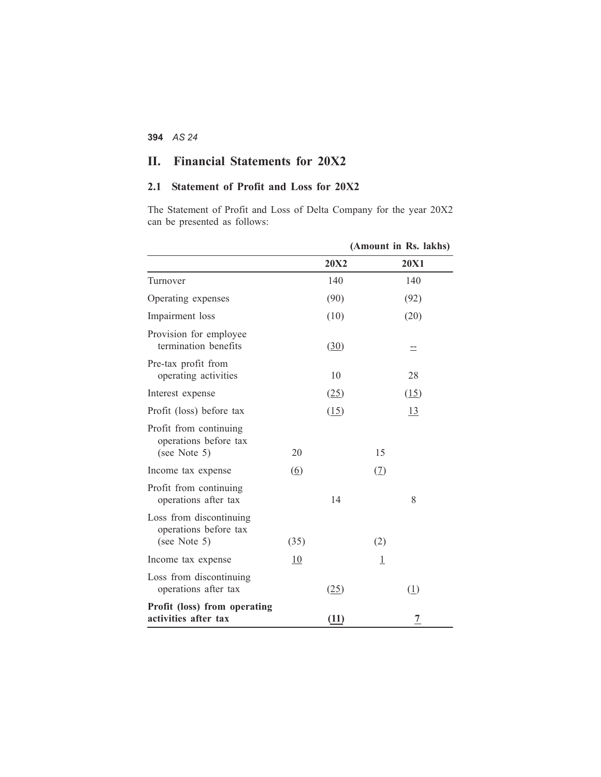## **II. Financial Statements for 20X2**

## **2.1 Statement of Profit and Loss for 20X2**

The Statement of Profit and Loss of Delta Company for the year 20X2 can be presented as follows:

|                                                                  |                   |             | (Amount in Rs. lakhs) |
|------------------------------------------------------------------|-------------------|-------------|-----------------------|
|                                                                  |                   | <b>20X2</b> | <b>20X1</b>           |
| Turnover                                                         |                   | 140         | 140                   |
| Operating expenses                                               |                   | (90)        | (92)                  |
| Impairment loss                                                  |                   | (10)        | (20)                  |
| Provision for employee<br>termination benefits                   |                   | (30)        | $\equiv$              |
| Pre-tax profit from<br>operating activities                      |                   | 10          | 28                    |
| Interest expense                                                 |                   | (25)        | (15)                  |
| Profit (loss) before tax                                         |                   | (15)        | <u>13</u>             |
| Profit from continuing<br>operations before tax<br>(see Note 5)  | 20                |             | 15                    |
| Income tax expense                                               | $\left( 6\right)$ |             | (2)                   |
| Profit from continuing<br>operations after tax                   |                   | 14          | 8                     |
| Loss from discontinuing<br>operations before tax<br>(see Note 5) | (35)              |             | (2)                   |
| Income tax expense                                               | 10                |             | $\overline{1}$        |
| Loss from discontinuing<br>operations after tax                  |                   | (25)        | (1)                   |
| Profit (loss) from operating<br>activities after tax             |                   | (11)        | $\overline{1}$        |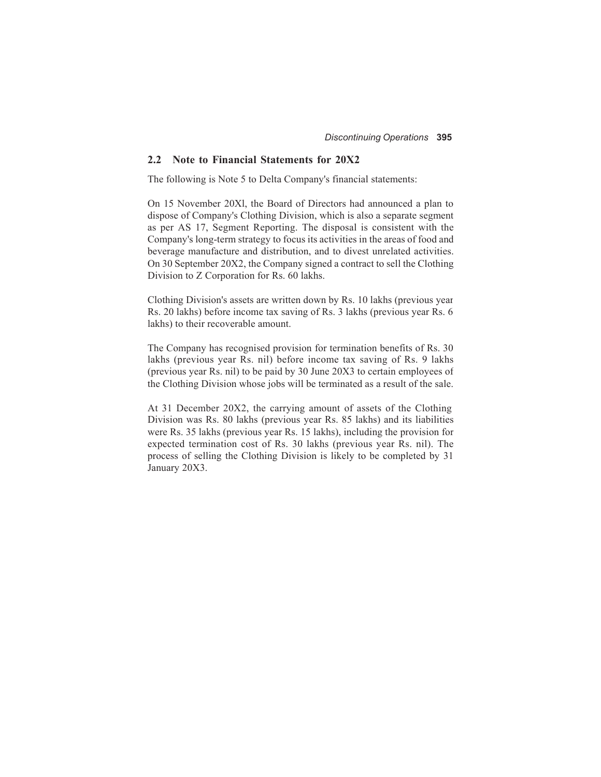#### **2.2 Note to Financial Statements for 20X2**

The following is Note 5 to Delta Company's financial statements:

On 15 November 20Xl, the Board of Directors had announced a plan to dispose of Company's Clothing Division, which is also a separate segment as per AS 17, Segment Reporting. The disposal is consistent with the Company's long-term strategy to focus its activities in the areas of food and beverage manufacture and distribution, and to divest unrelated activities. On 30 September 20X2, the Company signed a contract to sell the Clothing Division to Z Corporation for Rs. 60 lakhs.

Clothing Division's assets are written down by Rs. 10 lakhs (previous year Rs. 20 lakhs) before income tax saving of Rs. 3 lakhs (previous year Rs. 6 lakhs) to their recoverable amount.

The Company has recognised provision for termination benefits of Rs. 30 lakhs (previous year Rs. nil) before income tax saving of Rs. 9 lakhs (previous year Rs. nil) to be paid by 30 June 20X3 to certain employees of the Clothing Division whose jobs will be terminated as a result of the sale.

At 31 December 20X2, the carrying amount of assets of the Clothing Division was Rs. 80 lakhs (previous year Rs. 85 lakhs) and its liabilities were Rs. 35 lakhs (previous year Rs. 15 lakhs), including the provision for expected termination cost of Rs. 30 lakhs (previous year Rs. nil). The process of selling the Clothing Division is likely to be completed by 31 January 20X3.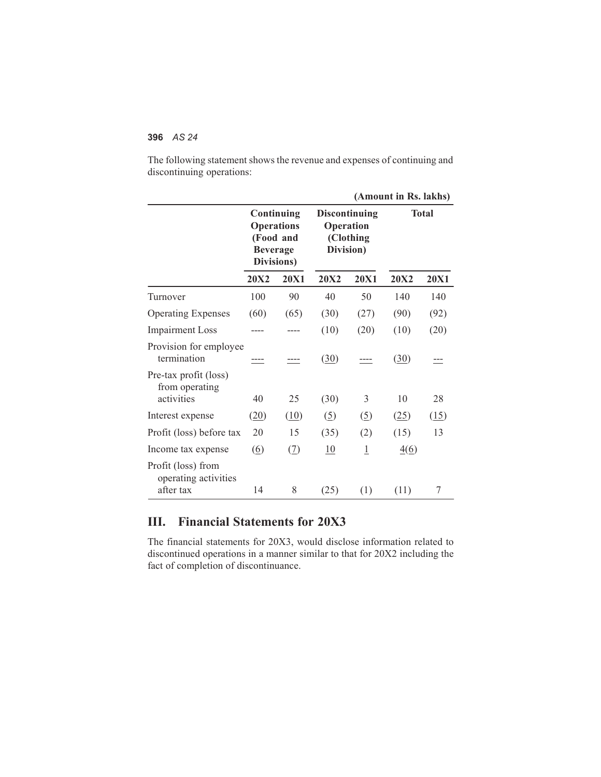The following statement shows the revenue and expenses of continuing and discontinuing operations:

|                                                         |                                                                               |             | (Amount in Rs. lakhs)                                       |                |              |             |  |  |
|---------------------------------------------------------|-------------------------------------------------------------------------------|-------------|-------------------------------------------------------------|----------------|--------------|-------------|--|--|
|                                                         | Continuing<br><b>Operations</b><br>(Food and<br><b>Beverage</b><br>Divisions) |             | <b>Discontinuing</b><br>Operation<br>(Clothing<br>Division) |                | <b>Total</b> |             |  |  |
|                                                         | <b>20X2</b>                                                                   | <b>20X1</b> | <b>20X2</b>                                                 | <b>20X1</b>    | <b>20X2</b>  | <b>20X1</b> |  |  |
| Turnover                                                | 100                                                                           | 90          | 40                                                          | 50             | 140          | 140         |  |  |
| <b>Operating Expenses</b>                               | (60)                                                                          | (65)        | (30)                                                        | (27)           | (90)         | (92)        |  |  |
| <b>Impairment Loss</b>                                  |                                                                               | ---         | (10)                                                        | (20)           | (10)         | (20)        |  |  |
| Provision for employee<br>termination                   |                                                                               |             | (30)                                                        |                | (30)         |             |  |  |
| Pre-tax profit (loss)<br>from operating<br>activities   | 40                                                                            | 25          | (30)                                                        | 3              | 10           | 28          |  |  |
| Interest expense                                        | (20)                                                                          | (10)        | (5)                                                         | (5)            | (25)         | (15)        |  |  |
| Profit (loss) before tax                                | 20                                                                            | 15          | (35)                                                        | (2)            | (15)         | 13          |  |  |
| Income tax expense                                      | $\circ$                                                                       | (7)         | 10                                                          | $\overline{1}$ | 4(6)         |             |  |  |
| Profit (loss) from<br>operating activities<br>after tax | 14                                                                            | 8           | (25)                                                        | (1)            | (11)         | 7           |  |  |

## **III. Financial Statements for 20X3**

The financial statements for 20X3, would disclose information related to discontinued operations in a manner similar to that for 20X2 including the fact of completion of discontinuance.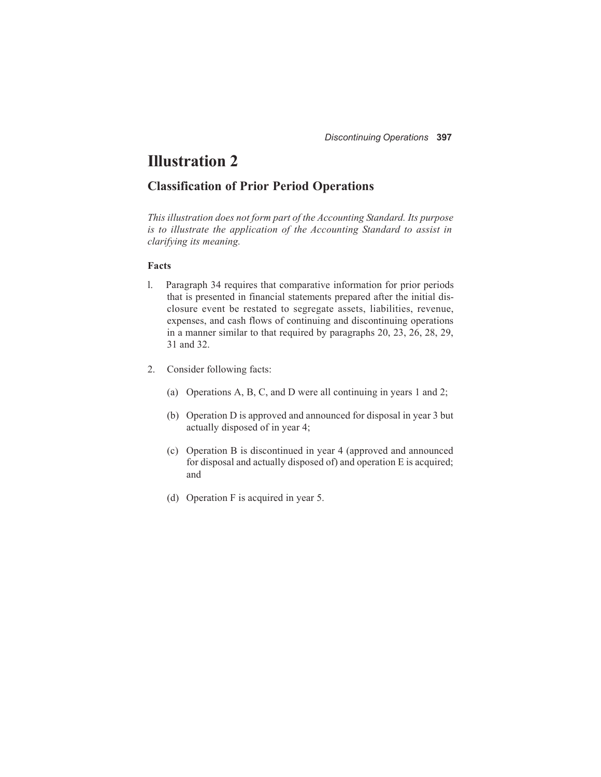# **Illustration 2**

### **Classification of Prior Period Operations**

*This illustration does not form part of the Accounting Standard. Its purpose is to illustrate the application of the Accounting Standard to assist in clarifying its meaning.*

#### **Facts**

- l. Paragraph 34 requires that comparative information for prior periods that is presented in financial statements prepared after the initial disclosure event be restated to segregate assets, liabilities, revenue, expenses, and cash flows of continuing and discontinuing operations in a manner similar to that required by paragraphs 20, 23, 26, 28, 29, 31 and 32.
- 2. Consider following facts:
	- (a) Operations A, B, C, and D were all continuing in years 1 and 2;
	- (b) Operation D is approved and announced for disposal in year 3 but actually disposed of in year 4;
	- (c) Operation B is discontinued in year 4 (approved and announced for disposal and actually disposed of) and operation E is acquired; and
	- (d) Operation F is acquired in year 5.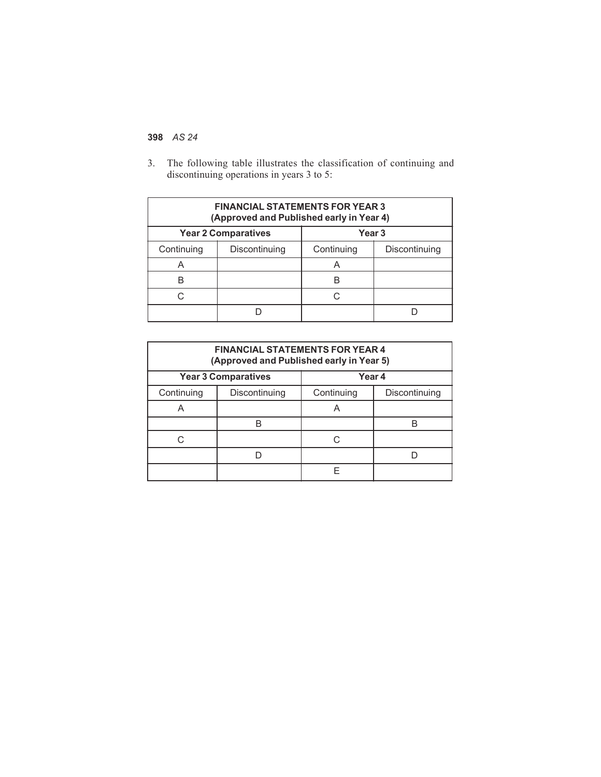3. The following table illustrates the classification of continuing and discontinuing operations in years 3 to 5:

| <b>FINANCIAL STATEMENTS FOR YEAR 3</b><br>(Approved and Published early in Year 4) |               |            |               |  |  |  |
|------------------------------------------------------------------------------------|---------------|------------|---------------|--|--|--|
| <b>Year 2 Comparatives</b><br>Year 3                                               |               |            |               |  |  |  |
| Continuing                                                                         | Discontinuing | Continuing | Discontinuing |  |  |  |
| A                                                                                  |               | A          |               |  |  |  |
| B                                                                                  |               |            |               |  |  |  |
| r.                                                                                 |               | C          |               |  |  |  |
|                                                                                    |               |            |               |  |  |  |

| <b>FINANCIAL STATEMENTS FOR YEAR 4</b><br>(Approved and Published early in Year 5) |               |                             |  |  |  |
|------------------------------------------------------------------------------------|---------------|-----------------------------|--|--|--|
| <b>Year 3 Comparatives</b><br>Year 4                                               |               |                             |  |  |  |
| Continuing                                                                         | Discontinuing | Continuing<br>Discontinuing |  |  |  |
|                                                                                    |               | A                           |  |  |  |
|                                                                                    |               |                             |  |  |  |
| C                                                                                  |               | C                           |  |  |  |
|                                                                                    |               |                             |  |  |  |
|                                                                                    |               | F                           |  |  |  |